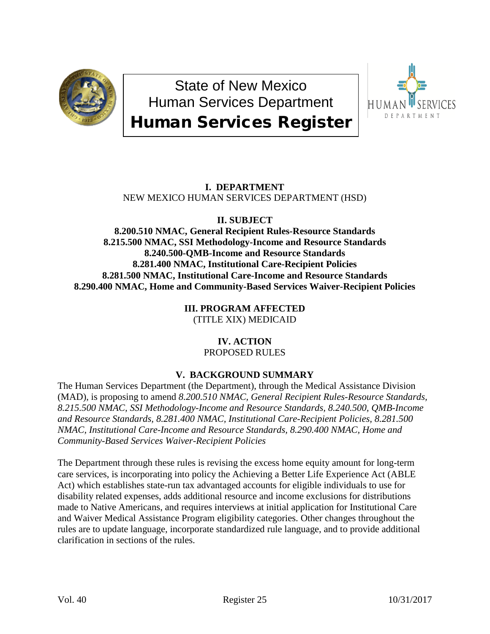

State of New Mexico Human Services Department Human Services Register



# **I. DEPARTMENT** NEW MEXICO HUMAN SERVICES DEPARTMENT (HSD)

**II. SUBJECT**

**8.200.510 NMAC, General Recipient Rules-Resource Standards 8.215.500 NMAC, SSI Methodology-Income and Resource Standards 8.240.500-QMB-Income and Resource Standards 8.281.400 NMAC, Institutional Care-Recipient Policies 8.281.500 NMAC, Institutional Care-Income and Resource Standards 8.290.400 NMAC, Home and Community-Based Services Waiver-Recipient Policies**

> **III. PROGRAM AFFECTED** (TITLE XIX) MEDICAID

> > **IV. ACTION** PROPOSED RULES

# **V. BACKGROUND SUMMARY**

The Human Services Department (the Department), through the Medical Assistance Division (MAD), is proposing to amend *8.200.510 NMAC, General Recipient Rules-Resource Standards, 8.215.500 NMAC, SSI Methodology-Income and Resource Standards, 8.240.500, QMB-Income and Resource Standards, 8.281.400 NMAC, Institutional Care-Recipient Policies, 8.281.500 NMAC, Institutional Care-Income and Resource Standards, 8.290.400 NMAC, Home and Community-Based Services Waiver-Recipient Policies*

The Department through these rules is revising the excess home equity amount for long-term care services, is incorporating into policy the Achieving a Better Life Experience Act (ABLE Act) which establishes state-run tax advantaged accounts for eligible individuals to use for disability related expenses, adds additional resource and income exclusions for distributions made to Native Americans, and requires interviews at initial application for Institutional Care and Waiver Medical Assistance Program eligibility categories. Other changes throughout the rules are to update language, incorporate standardized rule language, and to provide additional clarification in sections of the rules.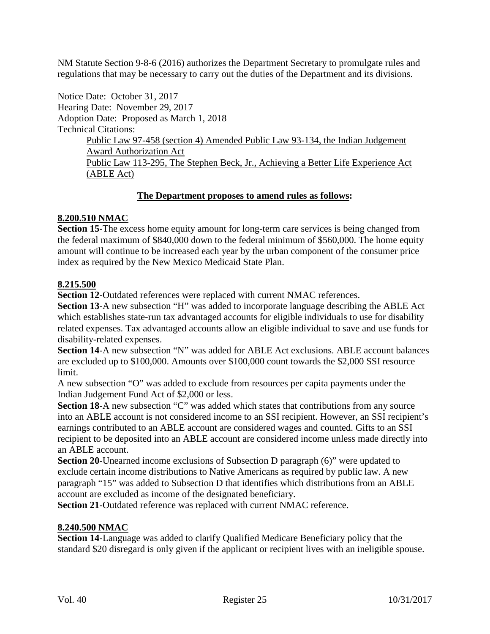NM Statute Section 9-8-6 (2016) authorizes the Department Secretary to promulgate rules and regulations that may be necessary to carry out the duties of the Department and its divisions.

Notice Date: October 31, 2017 Hearing Date: November 29, 2017 Adoption Date: Proposed as March 1, 2018 Technical Citations: Public Law 97-458 (section 4) Amended Public Law 93-134, the Indian Judgement Award Authorization Act Public Law 113-295, The Stephen Beck, Jr., Achieving a Better Life Experience Act (ABLE Act)

### **The Department proposes to amend rules as follows:**

## **8.200.510 NMAC**

**Section 15-**The excess home equity amount for long-term care services is being changed from the federal maximum of \$840,000 down to the federal minimum of \$560,000. The home equity amount will continue to be increased each year by the urban component of the consumer price index as required by the New Mexico Medicaid State Plan.

### **8.215.500**

**Section 12-**Outdated references were replaced with current NMAC references.

**Section 13**-A new subsection "H" was added to incorporate language describing the ABLE Act which establishes state-run tax advantaged accounts for eligible individuals to use for disability related expenses. Tax advantaged accounts allow an eligible individual to save and use funds for disability-related expenses.

**Section 14**-A new subsection "N" was added for ABLE Act exclusions. ABLE account balances are excluded up to \$100,000. Amounts over \$100,000 count towards the \$2,000 SSI resource limit.

A new subsection "O" was added to exclude from resources per capita payments under the Indian Judgement Fund Act of \$2,000 or less.

**Section 18-**A new subsection "C" was added which states that contributions from any source into an ABLE account is not considered income to an SSI recipient. However, an SSI recipient's earnings contributed to an ABLE account are considered wages and counted. Gifts to an SSI recipient to be deposited into an ABLE account are considered income unless made directly into an ABLE account.

**Section 20-**Unearned income exclusions of Subsection D paragraph (6)" were updated to exclude certain income distributions to Native Americans as required by public law. A new paragraph "15" was added to Subsection D that identifies which distributions from an ABLE account are excluded as income of the designated beneficiary.

**Section 21**-Outdated reference was replaced with current NMAC reference.

## **8.240.500 NMAC**

**Section 14**-Language was added to clarify Qualified Medicare Beneficiary policy that the standard \$20 disregard is only given if the applicant or recipient lives with an ineligible spouse.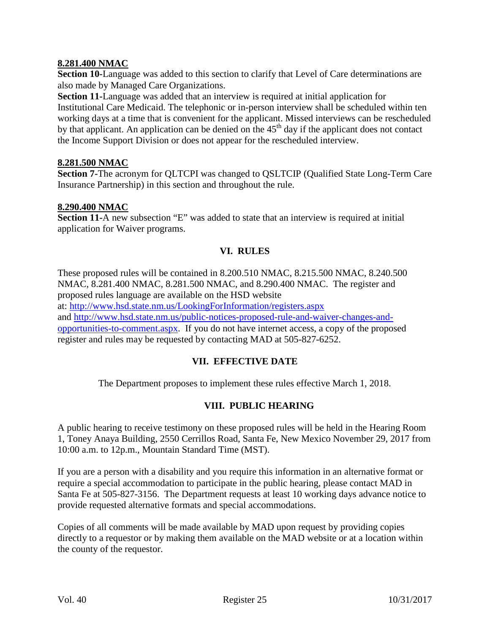#### **8.281.400 NMAC**

**Section 10-**Language was added to this section to clarify that Level of Care determinations are also made by Managed Care Organizations.

**Section 11-**Language was added that an interview is required at initial application for Institutional Care Medicaid. The telephonic or in-person interview shall be scheduled within ten working days at a time that is convenient for the applicant. Missed interviews can be rescheduled by that applicant. An application can be denied on the  $45<sup>th</sup>$  day if the applicant does not contact the Income Support Division or does not appear for the rescheduled interview.

#### **8.281.500 NMAC**

**Section 7-**The acronym for QLTCPI was changed to QSLTCIP (Qualified State Long-Term Care Insurance Partnership) in this section and throughout the rule.

#### **8.290.400 NMAC**

**Section 11-**A new subsection "E" was added to state that an interview is required at initial application for Waiver programs.

## **VI. RULES**

These proposed rules will be contained in 8.200.510 NMAC, 8.215.500 NMAC, 8.240.500 NMAC, 8.281.400 NMAC, 8.281.500 NMAC, and 8.290.400 NMAC. The register and proposed rules language are available on the HSD website at:<http://www.hsd.state.nm.us/LookingForInformation/registers.aspx> and [http://www.hsd.state.nm.us/public-notices-proposed-rule-and-waiver-changes-and](http://www.hsd.state.nm.us/public-notices-proposed-rule-and-waiver-changes-and-opportunities-to-comment.aspx)[opportunities-to-comment.aspx.](http://www.hsd.state.nm.us/public-notices-proposed-rule-and-waiver-changes-and-opportunities-to-comment.aspx) If you do not have internet access, a copy of the proposed register and rules may be requested by contacting MAD at 505-827-6252.

### **VII. EFFECTIVE DATE**

The Department proposes to implement these rules effective March 1, 2018.

### **VIII. PUBLIC HEARING**

A public hearing to receive testimony on these proposed rules will be held in the Hearing Room 1, Toney Anaya Building, 2550 Cerrillos Road, Santa Fe, New Mexico November 29, 2017 from 10:00 a.m. to 12p.m., Mountain Standard Time (MST).

If you are a person with a disability and you require this information in an alternative format or require a special accommodation to participate in the public hearing, please contact MAD in Santa Fe at 505-827-3156. The Department requests at least 10 working days advance notice to provide requested alternative formats and special accommodations.

Copies of all comments will be made available by MAD upon request by providing copies directly to a requestor or by making them available on the MAD website or at a location within the county of the requestor.